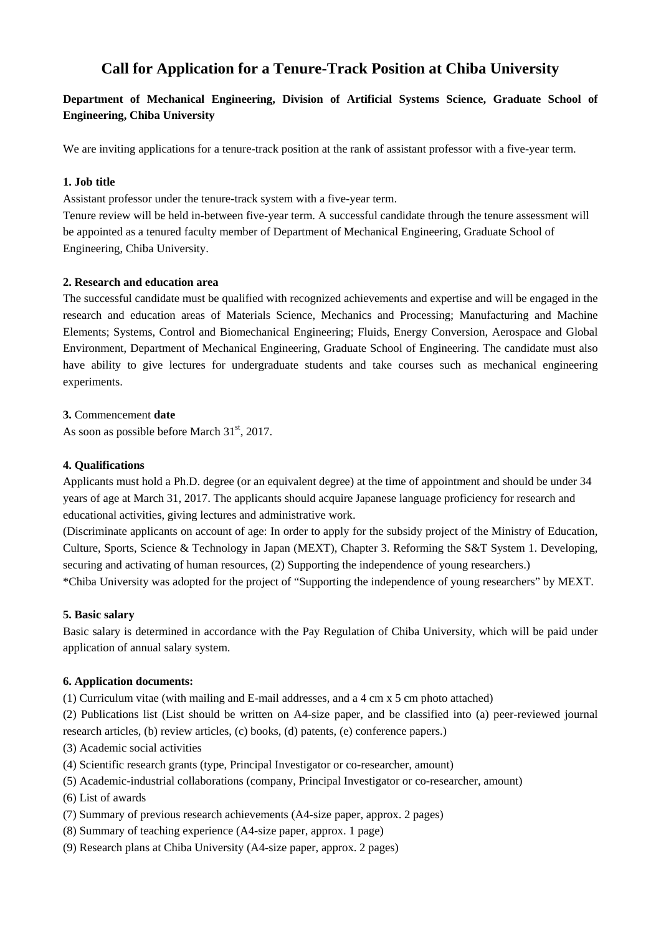# **Call for Application for a Tenure-Track Position at Chiba University**

## **Department of Mechanical Engineering, Division of Artificial Systems Science, Graduate School of Engineering, Chiba University**

We are inviting applications for a tenure-track position at the rank of assistant professor with a five-year term.

## **1. Job title**

Assistant professor under the tenure-track system with a five-year term.

Tenure review will be held in-between five-year term. A successful candidate through the tenure assessment will be appointed as a tenured faculty member of Department of Mechanical Engineering, Graduate School of Engineering, Chiba University.

#### **2. Research and education area**

The successful candidate must be qualified with recognized achievements and expertise and will be engaged in the research and education areas of Materials Science, Mechanics and Processing; Manufacturing and Machine Elements; Systems, Control and Biomechanical Engineering; Fluids, Energy Conversion, Aerospace and Global Environment, Department of Mechanical Engineering, Graduate School of Engineering. The candidate must also have ability to give lectures for undergraduate students and take courses such as mechanical engineering experiments.

**3.** Commencement **date** 

As soon as possible before March  $31<sup>st</sup>$ , 2017.

#### **4. Qualifications**

Applicants must hold a Ph.D. degree (or an equivalent degree) at the time of appointment and should be under 34 years of age at March 31, 2017. The applicants should acquire Japanese language proficiency for research and educational activities, giving lectures and administrative work.

(Discriminate applicants on account of age: In order to apply for the subsidy project of the Ministry of Education, Culture, Sports, Science & Technology in Japan (MEXT), Chapter 3. Reforming the S&T System 1. Developing, securing and activating of human resources, (2) Supporting the independence of young researchers.) \*Chiba University was adopted for the project of "Supporting the independence of young researchers" by MEXT.

#### **5. Basic salary**

Basic salary is determined in accordance with the Pay Regulation of Chiba University, which will be paid under application of annual salary system.

#### **6. Application documents:**

- (1) Curriculum vitae (with mailing and E-mail addresses, and a 4 cm x 5 cm photo attached)
- (2) Publications list (List should be written on A4-size paper, and be classified into (a) peer-reviewed journal research articles, (b) review articles, (c) books, (d) patents, (e) conference papers.)
- (3) Academic social activities
- (4) Scientific research grants (type, Principal Investigator or co-researcher, amount)
- (5) Academic-industrial collaborations (company, Principal Investigator or co-researcher, amount)
- (6) List of awards
- (7) Summary of previous research achievements (A4-size paper, approx. 2 pages)
- (8) Summary of teaching experience (A4-size paper, approx. 1 page)
- (9) Research plans at Chiba University (A4-size paper, approx. 2 pages)